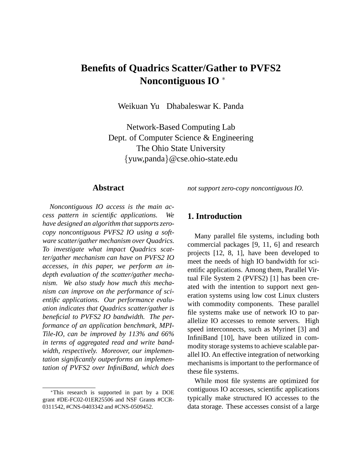# **Benefits of Quadrics Scatter/Gather to PVFS2 Noncontiguous IO** <sup>∗</sup>

Weikuan Yu Dhabaleswar K. Panda

Network-Based Computing Lab Dept. of Computer Science & Engineering The Ohio State University {yuw,panda}@cse.ohio-state.edu

#### **Abstract**

*Noncontiguous IO access is the main access pattern in scientific applications. We have designed an algorithm that supports zerocopy noncontiguous PVFS2 IO using a software scatter/gather mechanism over Quadrics. To investigate what impact Quadrics scatter/gather mechanism can have on PVFS2 IO accesses, in this paper, we perform an indepth evaluation of the scatter/gather mechanism. We also study how much this mechanism can improve on the performance of scientific applications. Our performance evaluation indicates that Quadrics scatter/gather is beneficial to PVFS2 IO bandwidth. The performance of an application benchmark, MPI-Tile-IO, can be improved by 113% and 66% in terms of aggregated read and write bandwidth, respectively. Moreover, our implementation significantly outperforms an implementation of PVFS2 over InfiniBand, which does*

<sup>∗</sup>This research is supported in part by a DOE grant #DE-FC02-01ER25506 and NSF Grants #CCR-0311542, #CNS-0403342 and #CNS-0509452.

*not support zero-copy noncontiguous IO.*

# **1. Introduction**

Many parallel file systems, including both commercial packages [9, 11, 6] and research projects [12, 8, 1], have been developed to meet the needs of high IO bandwidth for scientific applications. Among them, Parallel Virtual File System 2 (PVFS2) [1] has been created with the intention to support next generation systems using low cost Linux clusters with commodity components. These parallel file systems make use of network IO to parallelize IO accesses to remote servers. High speed interconnects, such as Myrinet [3] and InfiniBand [10], have been utilized in commodity storage systems to achieve scalable parallel IO. An effective integration of networking mechanisms is important to the performance of these file systems.

While most file systems are optimized for contiguous IO accesses, scientific applications typically make structured IO accesses to the data storage. These accesses consist of a large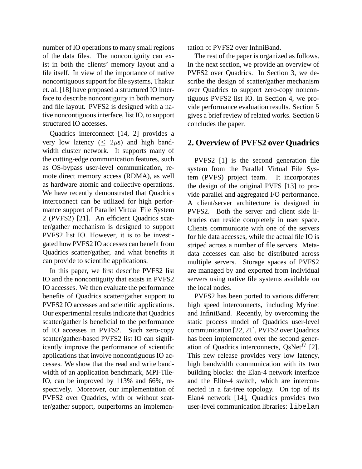number of IO operations to many small regions of the data files. The noncontiguity can exist in both the clients' memory layout and a file itself. In view of the importance of native noncontiguous support for file systems, Thakur et. al. [18] have proposed a structured IO interface to describe noncontiguity in both memory and file layout. PVFS2 is designed with a native noncontiguous interface, list IO, to support structured IO accesses.

Quadrics interconnect [14, 2] provides a very low latency ( $\leq 2\mu s$ ) and high bandwidth cluster network. It supports many of the cutting-edge communication features, such as OS-bypass user-level communication, remote direct memory access (RDMA), as well as hardware atomic and collective operations. We have recently demonstrated that Quadrics interconnect can be utilized for high performance support of Parallel Virtual File System 2 (PVFS2) [21]. An efficient Quadrics scatter/gather mechanism is designed to support PVFS2 list IO. However, it is to be investigated how PVFS2 IO accesses can benefit from Quadrics scatter/gather, and what benefits it can provide to scientific applications.

In this paper, we first describe PVFS2 list IO and the noncontiguity that exists in PVFS2 IO accesses. We then evaluate the performance benefits of Quadrics scatter/gather support to PVFS2 IO accesses and scientific applications. Our experimental results indicate that Quadrics scatter/gather is beneficial to the performance of IO accesses in PVFS2. Such zero-copy scatter/gather-based PVFS2 list IO can significantly improve the performance of scientific applications that involve noncontiguous IO accesses. We show that the read and write bandwidth of an application benchmark, MPI-Tile-IO, can be improved by 113% and 66%, respectively. Moreover, our implementation of PVFS2 over Quadrics, with or without scatter/gather support, outperforms an implementation of PVFS2 over InfiniBand.

The rest of the paper is organized as follows. In the next section, we provide an overview of PVFS2 over Quadrics. In Section 3, we describe the design of scatter/gather mechanism over Quadrics to support zero-copy noncontiguous PVFS2 list IO. In Section 4, we provide performance evaluation results. Section 5 gives a brief review of related works. Section 6 concludes the paper.

# **2. Overview of PVFS2 over Quadrics**

PVFS2 [1] is the second generation file system from the Parallel Virtual File System (PVFS) project team. It incorporates the design of the original PVFS [13] to provide parallel and aggregated I/O performance. A client/server architecture is designed in PVFS2. Both the server and client side libraries can reside completely in user space. Clients communicate with one of the servers for file data accesses, while the actual file IO is striped across a number of file servers. Metadata accesses can also be distributed across multiple servers. Storage spaces of PVFS2 are managed by and exported from individual servers using native file systems available on the local nodes.

PVFS2 has been ported to various different high speed interconnects, including Myrinet and InfiniBand. Recently, by overcoming the static process model of Quadrics user-level communication [22, 21], PVFS2 over Quadrics has been implemented over the second generation of Quadrics interconnects,  $QsNet^{II}$  [2]. This new release provides very low latency, high bandwidth communication with its two building blocks: the Elan-4 network interface and the Elite-4 switch, which are interconnected in a fat-tree topology. On top of its Elan4 network [14], Quadrics provides two user-level communication libraries: libelan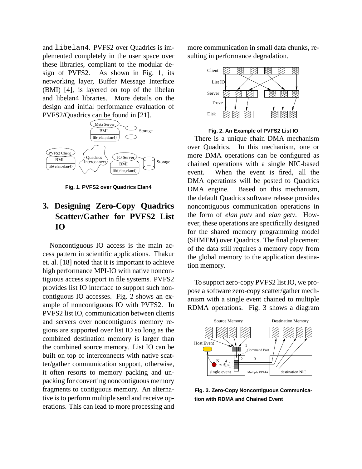and libelan4. PVFS2 over Quadrics is implemented completely in the user space over these libraries, compliant to the modular design of PVFS2. As shown in Fig. 1, its networking layer, Buffer Message Interface (BMI) [4], is layered on top of the libelan and libelan4 libraries. More details on the design and initial performance evaluation of PVFS2/Quadrics can be found in [21].



**Fig. 1. PVFS2 over Quadrics Elan4**

# **3. Designing Zero-Copy Quadrics Scatter/Gather for PVFS2 List IO**

Noncontiguous IO access is the main access pattern in scientific applications. Thakur et. al. [18] noted that it is important to achieve high performance MPI-IO with native noncontiguous access support in file systems. PVFS2 provides list IO interface to support such noncontiguous IO accesses. Fig. 2 shows an example of noncontiguous IO with PVFS2. In PVFS2 list IO, communication between clients and servers over noncontiguous memory regions are supported over list IO so long as the combined destination memory is larger than the combined source memory. List IO can be built on top of interconnects with native scatter/gather communication support, otherwise, it often resorts to memory packing and unpacking for converting noncontiguous memory fragments to contiguous memory. An alternative is to perform multiple send and receive operations. This can lead to more processing and more communication in small data chunks, resulting in performance degradation.



**Fig. 2. An Example of PVFS2 List IO**

There is a unique chain DMA mechanism over Quadrics. In this mechanism, one or more DMA operations can be configured as chained operations with a single NIC-based event. When the event is fired, all the DMA operations will be posted to Quadrics DMA engine. Based on this mechanism, the default Quadrics software release provides noncontiguous communication operations in the form of *elan putv* and *elan getv*. However, these operations are specifically designed for the shared memory programming model (SHMEM) over Quadrics. The final placement of the data still requires a memory copy from the global memory to the application destination memory.

To support zero-copy PVFS2 list IO, we propose a software zero-copy scatter/gather mechanism with a single event chained to multiple RDMA operations. Fig. 3 shows a diagram



**Fig. 3. Zero-Copy Noncontiguous Communication with RDMA and Chained Event**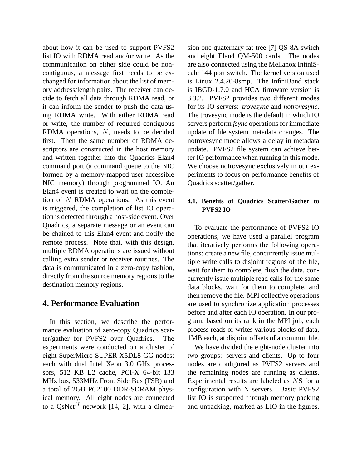about how it can be used to support PVFS2 list IO with RDMA read and/or write. As the communication on either side could be noncontiguous, a message first needs to be exchanged for information about the list of memory address/length pairs. The receiver can decide to fetch all data through RDMA read, or it can inform the sender to push the data using RDMA write. With either RDMA read or write, the number of required contiguous RDMA operations, N, needs to be decided first. Then the same number of RDMA descriptors are constructed in the host memory and written together into the Quadrics Elan4 command port (a command queue to the NIC formed by a memory-mapped user accessible NIC memory) through programmed IO. An Elan4 event is created to wait on the completion of N RDMA operations. As this event is triggered, the completion of list IO operation is detected through a host-side event. Over Quadrics, a separate message or an event can be chained to this Elan4 event and notify the remote process. Note that, with this design, multiple RDMA operations are issued without calling extra sender or receiver routines. The data is communicated in a zero-copy fashion, directly from the source memory regions to the destination memory regions.

# **4. Performance Evaluation**

In this section, we describe the performance evaluation of zero-copy Quadrics scatter/gather for PVFS2 over Quadrics. The experiments were conducted on a cluster of eight SuperMicro SUPER X5DL8-GG nodes: each with dual Intel Xeon 3.0 GHz processors, 512 KB L2 cache, PCI-X 64-bit 133 MHz bus, 533MHz Front Side Bus (FSB) and a total of 2GB PC2100 DDR-SDRAM physical memory. All eight nodes are connected to a QsNet<sup>II</sup> network [14, 2], with a dimension one quaternary fat-tree [7] QS-8A switch and eight Elan4 QM-500 cards. The nodes are also connected using the Mellanox InfiniScale 144 port switch. The kernel version used is Linux 2.4.20-8smp. The InfiniBand stack is IBGD-1.7.0 and HCA firmware version is 3.3.2. PVFS2 provides two different modes for its IO servers: *trovesync* and *notrovesync*. The trovesync mode is the default in which IO servers perform *fsync* operations for immediate update of file system metadata changes. The notrovesync mode allows a delay in metadata update. PVFS2 file system can achieve better IO performance when running in this mode. We choose notrovesync exclusively in our experiments to focus on performance benefits of Quadrics scatter/gather.

#### **4.1. Benefits of Quadrics Scatter/Gather to PVFS2 IO**

To evaluate the performance of PVFS2 IO operations, we have used a parallel program that iteratively performs the following operations: create a new file, concurrently issue multiple write calls to disjoint regions of the file, wait for them to complete, flush the data, concurrently issue multiple read calls for the same data blocks, wait for them to complete, and then remove the file. MPI collective operations are used to synchronize application processes before and after each IO operation. In our program, based on its rank in the MPI job, each process reads or writes various blocks of data, 1MB each, at disjoint offsets of a common file.

We have divided the eight-node cluster into two groups: servers and clients. Up to four nodes are configured as PVFS2 servers and the remaining nodes are running as clients. Experimental results are labeled as NS for a configuration with N servers. Basic PVFS2 list IO is supported through memory packing and unpacking, marked as LIO in the figures.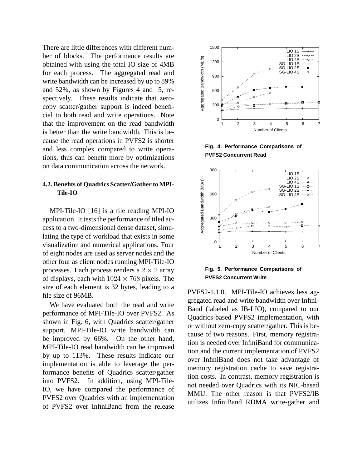There are little differences with different number of blocks. The performance results are obtained with using the total IO size of 4MB for each process. The aggregated read and write bandwidth can be increased by up to 89% and 52%, as shown by Figures 4 and 5, respectively. These results indicate that zerocopy scatter/gather support is indeed beneficial to both read and write operations. Note that the improvement on the read bandwidth is better than the write bandwidth. This is because the read operations in PVFS2 is shorter and less complex compared to write operations, thus can benefit more by optimizations on data communication across the network.

#### **4.2. Benefits of Quadrics Scatter/Gather to MPI-Tile-IO**

MPI-Tile-IO [16] is a tile reading MPI-IO application. It tests the performance of tiled access to a two-dimensional dense dataset, simulating the type of workload that exists in some visualization and numerical applications. Four of eight nodes are used as server nodes and the other four as client nodes running MPI-Tile-IO processes. Each process renders a  $2 \times 2$  array of displays, each with  $1024 \times 768$  pixels. The size of each element is 32 bytes, leading to a file size of 96MB.

We have evaluated both the read and write performance of MPI-Tile-IO over PVFS2. As shown in Fig. 6, with Quadrics scatter/gather support, MPI-Tile-IO write bandwidth can be improved by 66%. On the other hand, MPI-Tile-IO read bandwidth can be improved by up to 113%. These results indicate our implementation is able to leverage the performance benefits of Quadrics scatter/gather into PVFS2. In addition, using MPI-Tile-IO, we have compared the performance of PVFS2 over Quadrics with an implementation of PVFS2 over InfiniBand from the release







**Fig. 5. Performance Comparisons of PVFS2 Concurrent Write**

PVFS2-1.1.0. MPI-Tile-IO achieves less aggregated read and write bandwidth over Infini-Band (labeled as IB-LIO), compared to our Quadrics-based PVFS2 implementation, with or without zero-copy scatter/gather. This is because of two reasons. First, memory registration is needed over InfiniBand for communication and the current implementation of PVFS2 over InfiniBand does not take advantage of memory registration cache to save registration costs. In contrast, memory registration is not needed over Quadrics with its NIC-based MMU. The other reason is that PVFS2/IB utilizes InfiniBand RDMA write-gather and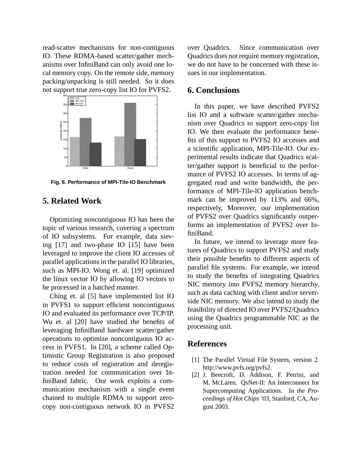read-scatter mechanisms for non-contiguous IO. These RDMA-based scatter/gather mechanisms over InfiniBand can only avoid one local memory copy. On the remote side, memory packing/unpacking is still needed. So it does not support true zero-copy list IO for PVFS2.



**Fig. 6. Performance of MPI-Tile-IO Benchmark**

# **5. Related Work**

Optimizing noncontiguous IO has been the topic of various research, covering a spectrum of IO subsystems. For example, data sieving [17] and two-phase IO [15] have been leveraged to improve the client IO accesses of parallel applications in the parallel IO libraries, such as MPI-IO. Wong et. al. [19] optimized the linux vector IO by allowing IO vectors to be processed in a batched manner.

Ching et. al [5] have implemented list IO in PVFS1 to support efficient noncontiguous IO and evaluated its performance over TCP/IP. Wu et. al [20] have studied the benefits of leveraging InfiniBand hardware scatter/gather operations to optimize noncontiguous IO access in PVFS1. In [20], a scheme called Optimistic Group Registration is also proposed to reduce costs of registration and deregistration needed for communication over InfiniBand fabric. Our work exploits a communication mechanism with a single event chained to multiple RDMA to support zerocopy non-contiguous network IO in PVFS2 over Quadrics. Since communication over Quadrics does not require memory registration, we do not have to be concerned with these issues in our implementation.

# **6. Conclusions**

In this paper, we have described PVFS2 list IO and a software scatter/gather mechanism over Quadrics to support zero-copy list IO. We then evaluate the performance benefits of this support to PVFS2 IO accesses and a scientific application, MPI-Tile-IO. Our experimental results indicate that Quadrics scatter/gather support is beneficial to the performance of PVFS2 IO accesses. In terms of aggregated read and write bandwidth, the performance of MPI-Tile-IO application benchmark can be improved by 113% and 66%, respectively, Moreover, our implementation of PVFS2 over Quadrics significantly outperforms an implementation of PVFS2 over InfiniBand.

In future, we intend to leverage more features of Quadrics to support PVFS2 and study their possible benefits to different aspects of parallel file systems. For example, we intend to study the benefits of integrating Quadrics NIC memory into PVFS2 memory hierarchy, such as data caching with client and/or serverside NIC memory. We also intend to study the feasibility of directed IO over PVFS2/Quadrics using the Quadrics programmable NIC as the processing unit.

# **References**

- [1] The Parallel Virtual File System, version 2. http://www.pvfs.org/pvfs2.
- [2] J. Beecroft, D. Addison, F. Petrini, and M. McLaren. QsNet-II: An Interconnect for Supercomputing Applications. In *the Proceedings of Hot Chips '03*, Stanford, CA, August 2003.